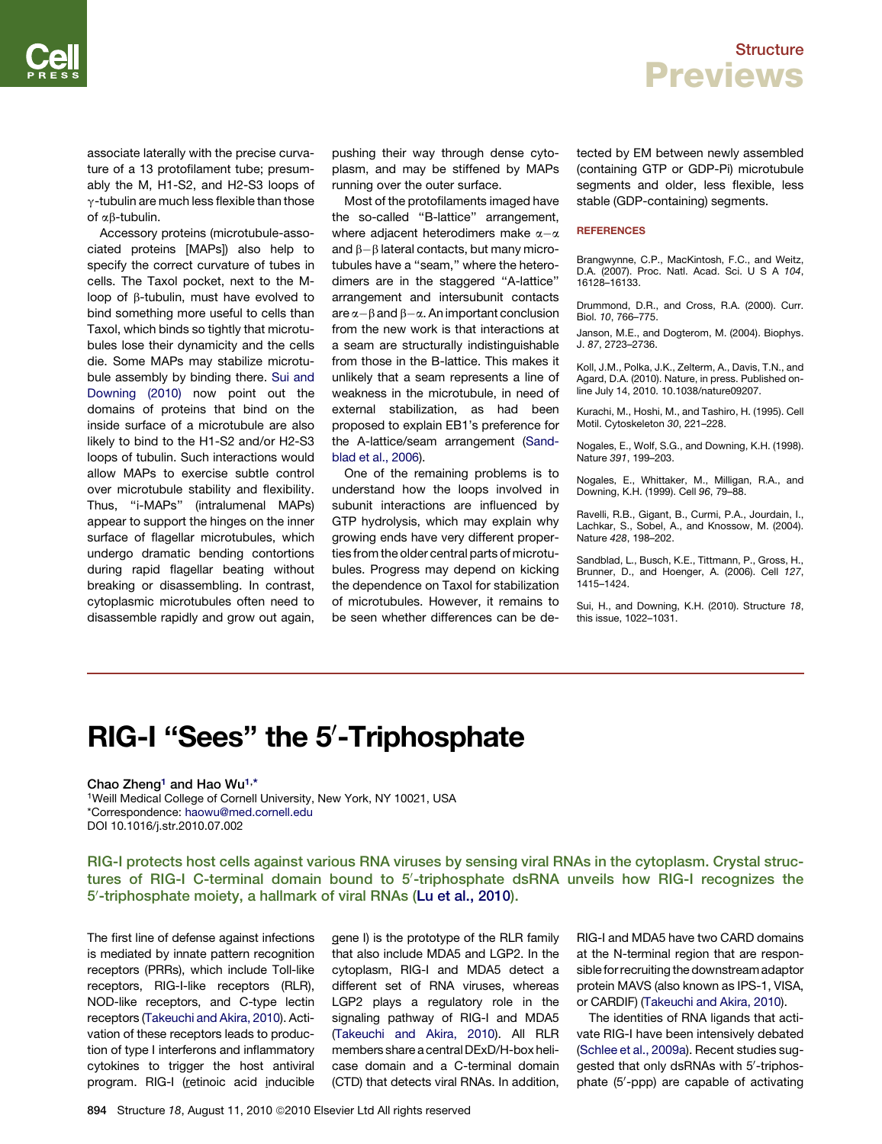associate laterally with the precise curvature of a 13 protofilament tube; presumably the M, H1-S2, and H2-S3 loops of  $\gamma$ -tubulin are much less flexible than those of  $\alpha\beta$ -tubulin.

Accessory proteins (microtubule-associated proteins [MAPs]) also help to specify the correct curvature of tubes in cells. The Taxol pocket, next to the Mloop of  $\beta$ -tubulin, must have evolved to bind something more useful to cells than Taxol, which binds so tightly that microtubules lose their dynamicity and the cells die. Some MAPs may stabilize microtubule assembly by binding there. Sui and Downing (2010) now point out the domains of proteins that bind on the inside surface of a microtubule are also likely to bind to the H1-S2 and/or H2-S3 loops of tubulin. Such interactions would allow MAPs to exercise subtle control over microtubule stability and flexibility. Thus, ''i-MAPs'' (intralumenal MAPs) appear to support the hinges on the inner surface of flagellar microtubules, which undergo dramatic bending contortions during rapid flagellar beating without breaking or disassembling. In contrast, cytoplasmic microtubules often need to disassemble rapidly and grow out again,

pushing their way through dense cytoplasm, and may be stiffened by MAPs running over the outer surface.

Most of the protofilaments imaged have the so-called ''B-lattice'' arrangement, where adjacent heterodimers make  $\alpha-\alpha$ and  $\beta - \beta$  lateral contacts, but many microtubules have a ''seam,'' where the heterodimers are in the staggered ''A-lattice'' arrangement and intersubunit contacts are  $\alpha-\beta$  and  $\beta-\alpha$ . An important conclusion from the new work is that interactions at a seam are structurally indistinguishable from those in the B-lattice. This makes it unlikely that a seam represents a line of weakness in the microtubule, in need of external stabilization, as had been proposed to explain EB1's preference for the A-lattice/seam arrangement (Sandblad et al., 2006).

One of the remaining problems is to understand how the loops involved in subunit interactions are influenced by GTP hydrolysis, which may explain why growing ends have very different properties from the older central parts of microtubules. Progress may depend on kicking the dependence on Taxol for stabilization of microtubules. However, it remains to be seen whether differences can be detected by EM between newly assembled (containing GTP or GDP-Pi) microtubule segments and older, less flexible, less stable (GDP-containing) segments.

#### **REFERENCES**

Brangwynne, C.P., MacKintosh, F.C., and Weitz, D.A. (2007). Proc. Natl. Acad. Sci. U S A *104*, 16128–16133.

Drummond, D.R., and Cross, R.A. (2000). Curr. Biol. *10*, 766–775.

Janson, M.E., and Dogterom, M. (2004). Biophys. J. *87*, 2723–2736.

Koll, J.M., Polka, J.K., Zelterm, A., Davis, T.N., and Agard, D.A. (2010). Nature, in press. Published online July 14, 2010. 10.1038/nature09207.

Kurachi, M., Hoshi, M., and Tashiro, H. (1995). Cell Motil. Cytoskeleton *30*, 221–228.

Nogales, E., Wolf, S.G., and Downing, K.H. (1998). Nature *391*, 199–203.

Nogales, E., Whittaker, M., Milligan, R.A., and Downing, K.H. (1999). Cell *96*, 79–88.

Ravelli, R.B., Gigant, B., Curmi, P.A., Jourdain, I., Lachkar, S., Sobel, A., and Knossow, M. (2004). Nature *428*, 198–202.

Sandblad, L., Busch, K.E., Tittmann, P., Gross, H., Brunner, D., and Hoenger, A. (2006). Cell *127*, 1415–1424.

Sui, H., and Downing, K.H. (2010). Structure *18*, this issue, 1022–1031.

# RIG-I "Sees" the 5'-Triphosphate

Chao Zheng<sup>1</sup> and Hao Wu<sup>1,\*</sup>

1Weill Medical College of Cornell University, New York, NY 10021, USA \*Correspondence: [haowu@med.cornell.edu](mailto:haowu@med.cornell.edu) DOI 10.1016/j.str.2010.07.002

RIG-I protects host cells against various RNA viruses by sensing viral RNAs in the cytoplasm. Crystal structures of RIG-I C-terminal domain bound to 5'-triphosphate dsRNA unveils how RIG-I recognizes the 5'-triphosphate moiety, a hallmark of viral RNAs [\(Lu et al., 2010](#page-2-0)).

The first line of defense against infections is mediated by innate pattern recognition receptors (PRRs), which include Toll-like receptors, RIG-I-like receptors (RLR), NOD-like receptors, and C-type lectin receptors [\(Takeuchi and Akira, 2010\)](#page-2-0). Activation of these receptors leads to production of type I interferons and inflammatory cytokines to trigger the host antiviral program. RIG-I (retinoic acid inducible

gene I) is the prototype of the RLR family that also include MDA5 and LGP2. In the cytoplasm, RIG-I and MDA5 detect a different set of RNA viruses, whereas LGP2 plays a regulatory role in the signaling pathway of RIG-I and MDA5 [\(Takeuchi and Akira, 2010](#page-2-0)). All RLR members share a central DExD/H-box helicase domain and a C-terminal domain (CTD) that detects viral RNAs. In addition, RIG-I and MDA5 have two CARD domains at the N-terminal region that are responsible for recruiting the downstream adaptor protein MAVS (also known as IPS-1, VISA, or CARDIF) ([Takeuchi and Akira, 2010](#page-2-0)).

The identities of RNA ligands that activate RIG-I have been intensively debated ([Schlee et al., 2009a](#page-2-0)). Recent studies suggested that only dsRNAs with 5'-triphosphate (5'-ppp) are capable of activating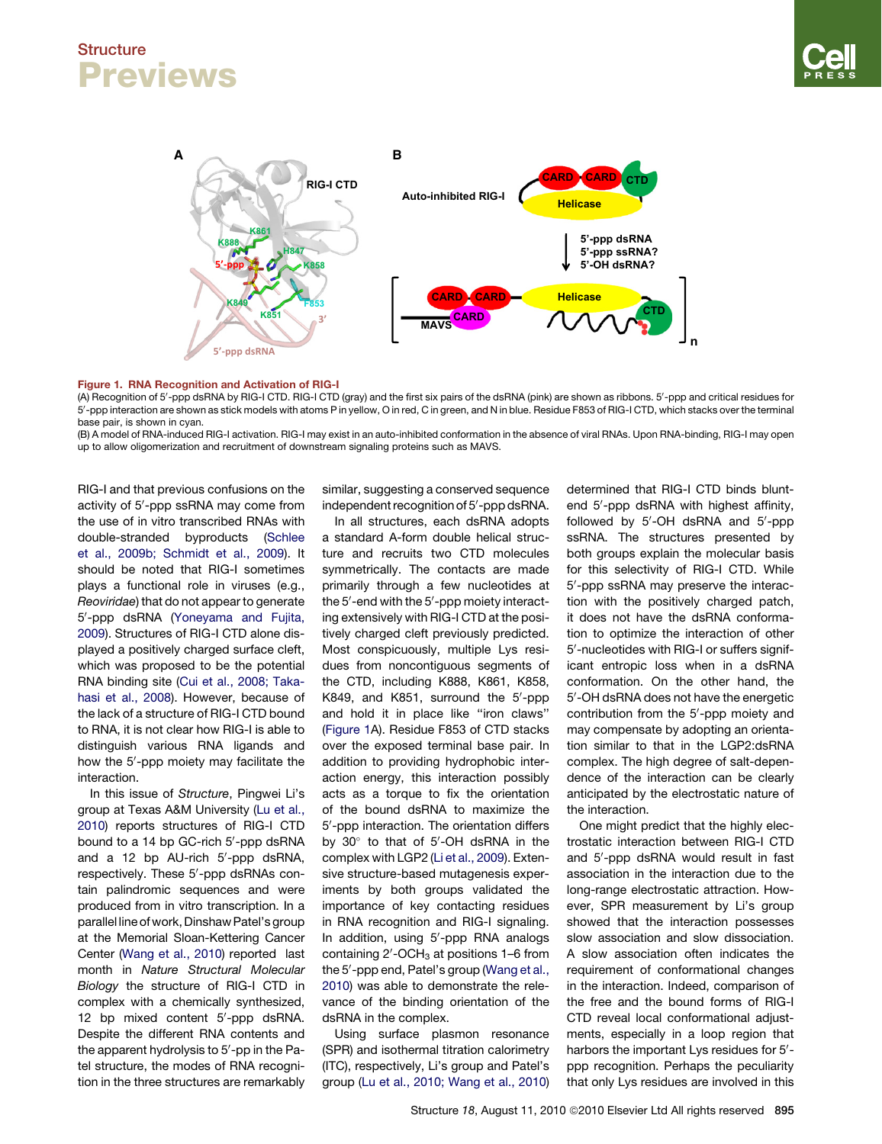## <span id="page-1-0"></span>**Structure** Previews



#### Figure 1. RNA Recognition and Activation of RIG-I

(A) Recognition of 5′-ppp dsRNA by RIG-I CTD. RIG-I CTD (gray) and the first six pairs of the dsRNA (pink) are shown as ribbons. 5′-ppp and critical residues for 5'-ppp interaction are shown as stick models with atoms P in yellow, O in red, C in green, and N in blue. Residue F853 of RIG-I CTD, which stacks over the terminal base pair, is shown in cyan.

(B) A model of RNA-induced RIG-I activation. RIG-I may exist in an auto-inhibited conformation in the absence of viral RNAs. Upon RNA-binding, RIG-I may open up to allow oligomerization and recruitment of downstream signaling proteins such as MAVS.

RIG-I and that previous confusions on the activity of 5'-ppp ssRNA may come from the use of in vitro transcribed RNAs with double-stranded byproducts ([Schlee](#page-2-0) [et al., 2009b; Schmidt et al., 2009](#page-2-0)). It should be noted that RIG-I sometimes plays a functional role in viruses (e.g., *Reoviridae*) that do not appear to generate 5'-ppp dsRNA [\(Yoneyama and Fujita,](#page-2-0) [2009\)](#page-2-0). Structures of RIG-I CTD alone displayed a positively charged surface cleft, which was proposed to be the potential RNA binding site ([Cui et al., 2008; Taka](#page-2-0)[hasi et al., 2008\)](#page-2-0). However, because of the lack of a structure of RIG-I CTD bound to RNA, it is not clear how RIG-I is able to distinguish various RNA ligands and how the 5'-ppp moiety may facilitate the interaction.

In this issue of *Structure*, Pingwei Li's group at Texas A&M University ([Lu et al.,](#page-2-0) [2010\)](#page-2-0) reports structures of RIG-I CTD bound to a 14 bp GC-rich 5'-ppp dsRNA and a 12 bp AU-rich 5'-ppp dsRNA, respectively. These 5'-ppp dsRNAs contain palindromic sequences and were produced from in vitro transcription. In a parallel line of work, Dinshaw Patel's group at the Memorial Sloan-Kettering Cancer Center ([Wang et al., 2010\)](#page-2-0) reported last month in *Nature Structural Molecular Biology* the structure of RIG-I CTD in complex with a chemically synthesized, 12 bp mixed content 5'-ppp dsRNA. Despite the different RNA contents and the apparent hydrolysis to 5'-pp in the Patel structure, the modes of RNA recognition in the three structures are remarkably

similar, suggesting a conserved sequence independent recognition of 5'-ppp dsRNA.

In all structures, each dsRNA adopts a standard A-form double helical structure and recruits two CTD molecules symmetrically. The contacts are made primarily through a few nucleotides at the 5'-end with the 5'-ppp moiety interacting extensively with RIG-I CTD at the positively charged cleft previously predicted. Most conspicuously, multiple Lys residues from noncontiguous segments of the CTD, including K888, K861, K858, K849, and K851, surround the 5'-ppp and hold it in place like ''iron claws'' (Figure 1A). Residue F853 of CTD stacks over the exposed terminal base pair. In addition to providing hydrophobic interaction energy, this interaction possibly acts as a torque to fix the orientation of the bound dsRNA to maximize the 5'-ppp interaction. The orientation differs by 30° to that of 5'-OH dsRNA in the complex with LGP2 ([Li et al., 2009\)](#page-2-0). Extensive structure-based mutagenesis experiments by both groups validated the importance of key contacting residues in RNA recognition and RIG-I signaling. In addition, using 5'-ppp RNA analogs containing 2 $^{\prime}$ -OCH $_3$  at positions 1–6 from the 5'-ppp end, Patel's group [\(Wang et al.,](#page-2-0) [2010](#page-2-0)) was able to demonstrate the relevance of the binding orientation of the dsRNA in the complex.

Using surface plasmon resonance (SPR) and isothermal titration calorimetry (ITC), respectively, Li's group and Patel's group ([Lu et al., 2010; Wang et al., 2010\)](#page-2-0) determined that RIG-I CTD binds bluntend 5'-ppp dsRNA with highest affinity, followed by 5'-OH dsRNA and 5'-ppp ssRNA. The structures presented by both groups explain the molecular basis for this selectivity of RIG-I CTD. While 5'-ppp ssRNA may preserve the interaction with the positively charged patch, it does not have the dsRNA conformation to optimize the interaction of other 5'-nucleotides with RIG-I or suffers significant entropic loss when in a dsRNA conformation. On the other hand, the 5'-OH dsRNA does not have the energetic contribution from the 5'-ppp moiety and may compensate by adopting an orientation similar to that in the LGP2:dsRNA complex. The high degree of salt-dependence of the interaction can be clearly anticipated by the electrostatic nature of the interaction.

One might predict that the highly electrostatic interaction between RIG-I CTD and 5'-ppp dsRNA would result in fast association in the interaction due to the long-range electrostatic attraction. However, SPR measurement by Li's group showed that the interaction possesses slow association and slow dissociation. A slow association often indicates the requirement of conformational changes in the interaction. Indeed, comparison of the free and the bound forms of RIG-I CTD reveal local conformational adjustments, especially in a loop region that harbors the important Lys residues for 5'ppp recognition. Perhaps the peculiarity that only Lys residues are involved in this